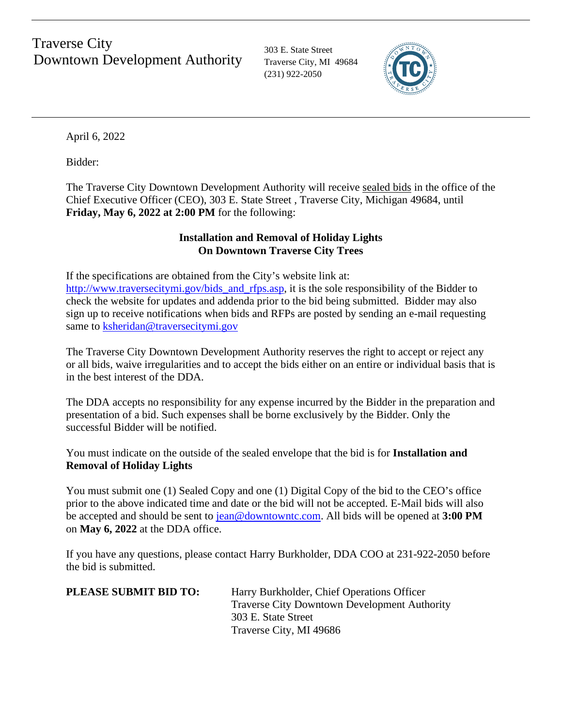# Downtown Development Authority Traverse City, MI 49684 Traverse City

303 E. State Street (231) 922-2050



April 6, 2022

Bidder:

The Traverse City Downtown Development Authority will receive sealed bids in the office of the Chief Executive Officer (CEO), 303 E. State Street , Traverse City, Michigan 49684, until **Friday, May 6, 2022 at 2:00 PM** for the following:

# **Installation and Removal of Holiday Lights On Downtown Traverse City Trees**

If the specifications are obtained from the City's website link at: [http://www.traversecitymi.gov/bids\\_and\\_rfps.asp,](http://www.traversecitymi.gov/bids_and_rfps.asp) it is the sole responsibility of the Bidder to check the website for updates and addenda prior to the bid being submitted. Bidder may also sign up to receive notifications when bids and RFPs are posted by sending an e-mail requesting same to [ksheridan@traversecitymi.gov](mailto:ksheridan@traversecitymi.gov)

The Traverse City Downtown Development Authority reserves the right to accept or reject any or all bids, waive irregularities and to accept the bids either on an entire or individual basis that is in the best interest of the DDA.

The DDA accepts no responsibility for any expense incurred by the Bidder in the preparation and presentation of a bid. Such expenses shall be borne exclusively by the Bidder. Only the successful Bidder will be notified.

You must indicate on the outside of the sealed envelope that the bid is for **Installation and Removal of Holiday Lights** 

You must submit one (1) Sealed Copy and one (1) Digital Copy of the bid to the CEO's office prior to the above indicated time and date or the bid will not be accepted. E-Mail bids will also be accepted and should be sent to jean@downtowntc.com. All bids will be opened at **3:00 PM** on **May 6, 2022** at the DDA office.

If you have any questions, please contact Harry Burkholder, DDA COO at 231-922-2050 before the bid is submitted.

| <b>PLEASE SUBMIT BID TO:</b> | Harry Burkholder, Chief Operations Officer          |
|------------------------------|-----------------------------------------------------|
|                              | <b>Traverse City Downtown Development Authority</b> |
|                              | 303 E. State Street                                 |
|                              | Traverse City, MI 49686                             |
|                              |                                                     |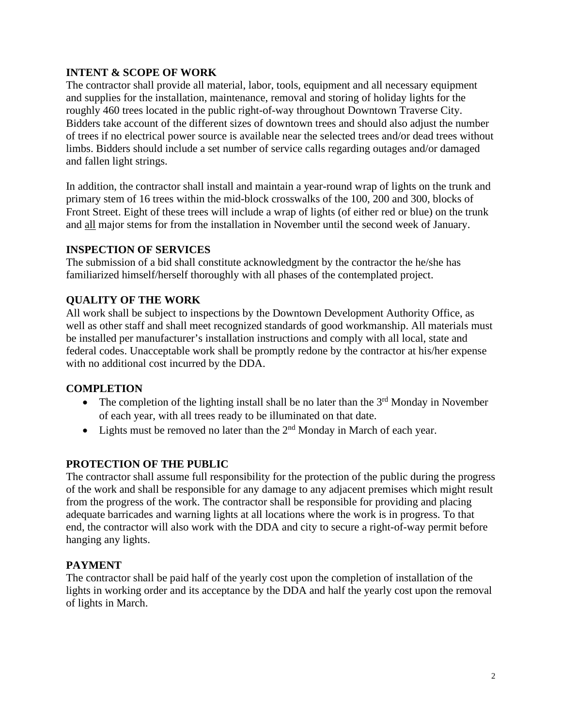## **INTENT & SCOPE OF WORK**

The contractor shall provide all material, labor, tools, equipment and all necessary equipment and supplies for the installation, maintenance, removal and storing of holiday lights for the roughly 460 trees located in the public right-of-way throughout Downtown Traverse City. Bidders take account of the different sizes of downtown trees and should also adjust the number of trees if no electrical power source is available near the selected trees and/or dead trees without limbs. Bidders should include a set number of service calls regarding outages and/or damaged and fallen light strings.

In addition, the contractor shall install and maintain a year-round wrap of lights on the trunk and primary stem of 16 trees within the mid-block crosswalks of the 100, 200 and 300, blocks of Front Street. Eight of these trees will include a wrap of lights (of either red or blue) on the trunk and all major stems for from the installation in November until the second week of January.

#### **INSPECTION OF SERVICES**

The submission of a bid shall constitute acknowledgment by the contractor the he/she has familiarized himself/herself thoroughly with all phases of the contemplated project.

## **QUALITY OF THE WORK**

All work shall be subject to inspections by the Downtown Development Authority Office, as well as other staff and shall meet recognized standards of good workmanship. All materials must be installed per manufacturer's installation instructions and comply with all local, state and federal codes. Unacceptable work shall be promptly redone by the contractor at his/her expense with no additional cost incurred by the DDA.

## **COMPLETION**

- The completion of the lighting install shall be no later than the  $3<sup>rd</sup>$  Monday in November of each year, with all trees ready to be illuminated on that date.
- Lights must be removed no later than the  $2<sup>nd</sup>$  Monday in March of each year.

## **PROTECTION OF THE PUBLIC**

The contractor shall assume full responsibility for the protection of the public during the progress of the work and shall be responsible for any damage to any adjacent premises which might result from the progress of the work. The contractor shall be responsible for providing and placing adequate barricades and warning lights at all locations where the work is in progress. To that end, the contractor will also work with the DDA and city to secure a right-of-way permit before hanging any lights.

## **PAYMENT**

The contractor shall be paid half of the yearly cost upon the completion of installation of the lights in working order and its acceptance by the DDA and half the yearly cost upon the removal of lights in March.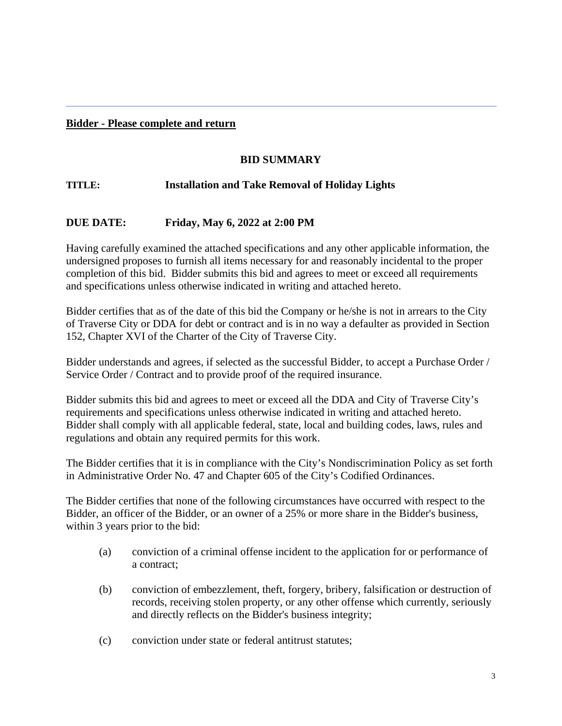#### **Bidder - Please complete and return**

## **BID SUMMARY**

## **TITLE: Installation and Take Removal of Holiday Lights**

#### **DUE DATE: Friday, May 6, 2022 at 2:00 PM**

Having carefully examined the attached specifications and any other applicable information, the undersigned proposes to furnish all items necessary for and reasonably incidental to the proper completion of this bid. Bidder submits this bid and agrees to meet or exceed all requirements and specifications unless otherwise indicated in writing and attached hereto.

Bidder certifies that as of the date of this bid the Company or he/she is not in arrears to the City of Traverse City or DDA for debt or contract and is in no way a defaulter as provided in Section 152, Chapter XVI of the Charter of the City of Traverse City.

Bidder understands and agrees, if selected as the successful Bidder, to accept a Purchase Order / Service Order / Contract and to provide proof of the required insurance.

Bidder submits this bid and agrees to meet or exceed all the DDA and City of Traverse City's requirements and specifications unless otherwise indicated in writing and attached hereto. Bidder shall comply with all applicable federal, state, local and building codes, laws, rules and regulations and obtain any required permits for this work.

The Bidder certifies that it is in compliance with the City's Nondiscrimination Policy as set forth in Administrative Order No. 47 and Chapter 605 of the City's Codified Ordinances.

The Bidder certifies that none of the following circumstances have occurred with respect to the Bidder, an officer of the Bidder, or an owner of a 25% or more share in the Bidder's business, within 3 years prior to the bid:

- (a) conviction of a criminal offense incident to the application for or performance of a contract;
- (b) conviction of embezzlement, theft, forgery, bribery, falsification or destruction of records, receiving stolen property, or any other offense which currently, seriously and directly reflects on the Bidder's business integrity;
- (c) conviction under state or federal antitrust statutes;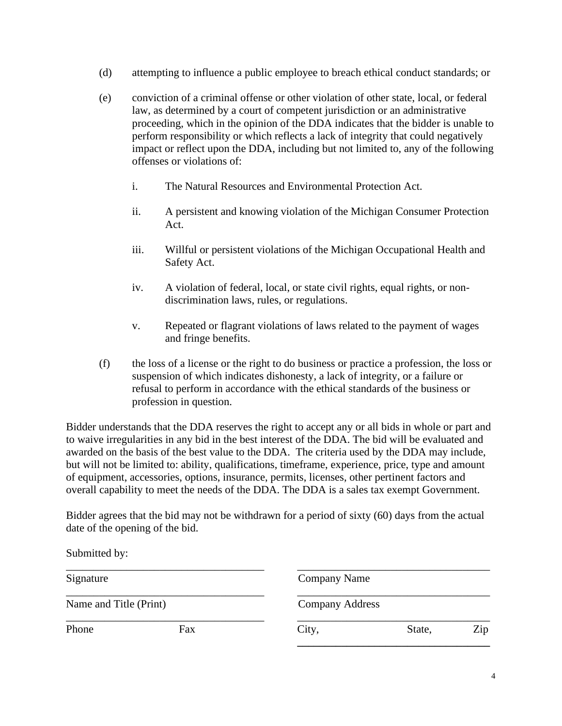- (d) attempting to influence a public employee to breach ethical conduct standards; or
- (e) conviction of a criminal offense or other violation of other state, local, or federal law, as determined by a court of competent jurisdiction or an administrative proceeding, which in the opinion of the DDA indicates that the bidder is unable to perform responsibility or which reflects a lack of integrity that could negatively impact or reflect upon the DDA, including but not limited to, any of the following offenses or violations of:
	- i. The Natural Resources and Environmental Protection Act.
	- ii. A persistent and knowing violation of the Michigan Consumer Protection Act.
	- iii. Willful or persistent violations of the Michigan Occupational Health and Safety Act.
	- iv. A violation of federal, local, or state civil rights, equal rights, or nondiscrimination laws, rules, or regulations.
	- v. Repeated or flagrant violations of laws related to the payment of wages and fringe benefits.
- (f) the loss of a license or the right to do business or practice a profession, the loss or suspension of which indicates dishonesty, a lack of integrity, or a failure or refusal to perform in accordance with the ethical standards of the business or profession in question.

Bidder understands that the DDA reserves the right to accept any or all bids in whole or part and to waive irregularities in any bid in the best interest of the DDA. The bid will be evaluated and awarded on the basis of the best value to the DDA. The criteria used by the DDA may include, but will not be limited to: ability, qualifications, timeframe, experience, price, type and amount of equipment, accessories, options, insurance, permits, licenses, other pertinent factors and overall capability to meet the needs of the DDA. The DDA is a sales tax exempt Government.

Bidder agrees that the bid may not be withdrawn for a period of sixty (60) days from the actual date of the opening of the bid.

\_\_\_\_\_\_\_\_\_\_\_\_\_\_\_\_\_\_\_\_\_\_\_\_\_\_\_\_\_\_\_\_\_\_\_\_ \_\_\_\_\_\_\_\_\_\_\_\_\_\_\_\_\_\_\_\_\_\_\_\_\_\_\_\_\_\_\_\_\_\_\_

Submitted by:

Name and Title (Print) Company Address

Signature Company Name

\_\_\_\_\_\_\_\_\_\_\_\_\_\_\_\_\_\_\_\_\_\_\_\_\_\_\_\_\_\_\_\_\_\_\_\_ \_\_\_\_\_\_\_\_\_\_\_\_\_\_\_\_\_\_\_\_\_\_\_\_\_\_\_\_\_\_\_\_\_\_\_

\_\_\_\_\_\_\_\_\_\_\_\_\_\_\_\_\_\_\_\_\_\_\_\_\_\_\_\_\_\_\_\_\_\_\_\_ \_\_\_\_\_\_\_\_\_\_\_\_\_\_\_\_\_\_\_\_\_\_\_\_\_\_\_\_\_\_\_\_\_\_\_ Phone Fax Fax City, State, Zip

**\_\_\_\_\_\_\_\_\_\_\_\_\_\_\_\_\_\_\_\_\_\_\_\_\_\_\_\_\_\_\_\_\_\_\_**